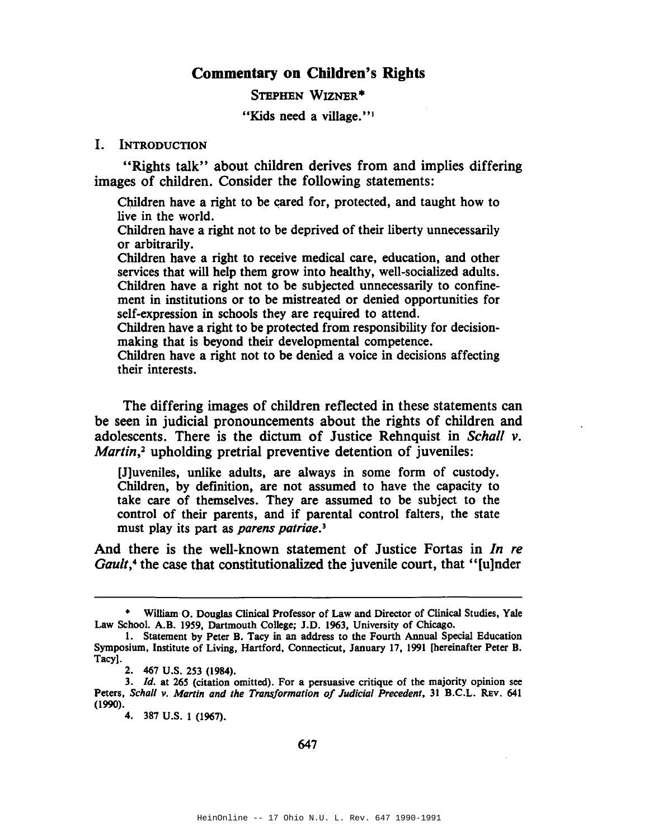# **Commentary on Children's Rights**

STEPHEN WIZNER\*

"Kids need a village."<sup>1</sup>

#### I. INTRODUCTION

"Rights talk" about children derives from and implies differing images of children. Consider the following statements:

Children have a right to be cared for, protected, and taught how to live in the world.

Children have a right not to be deprived of their liberty unnecessarily or arbitrarily.

Children have a right to receive medical care, education, and other services that will help them grow into healthy, well-socialized adults. Children have a right not to be subjected unnecessarily to confinement in institutions or to be mistreated or denied opportunities for self-expression in schools they are required to attend.

Children have a right to be protected from responsibility for decisionmaking that is beyond their developmental competence.

Children have a right not to be denied a voice in decisions affecting their interests.

The differing images of children reflected in these statements can be seen in judicial pronouncements about the rights of children and adolescents. There is the dictum of Justice Rehnquist in *Schall v. Martin*<sup>2</sup> upholding pretrial preventive detention of juveniles:

[J]uveniles, unlike adults, are always in some form of custody. Children, by definition, are not assumed to have the capacity to take care of themselves. They are assumed to be subject to the control of their parents, and if parental control falters, the state must play its part as *parens patriae.]*

And there is the well-known statement of Justice Fortas in *In re Gault*,<sup>4</sup> the case that constitutionalized the juvenile court, that "[u]nder

William O. Douglas Clinical Professor of Law and Director of Clinical Studies, Yale Law School. A.B. 1959, Dartmouth College; J.D. 1963, University of Chicago.

<sup>1.</sup> Statement by Peter B. Tacy in an address to the Fourth Annual Special Education Symposium, Institute of Living, Hartford, Connecticut, January 17, 1991 [hereinafter Peter B. Tacy).

<sup>2.</sup> 467 U.S. 253 (1984).

<sup>3.</sup> *Id.* at 265 (citation omitted). For a persuasive critique of the majority opinion see Peters, *Schall v. Martin and the Transformation of Judicial Precedent,* <sup>31</sup> B.C.L. REv. 641 (1990).

<sup>4.</sup> 387 U.S. 1 (1967).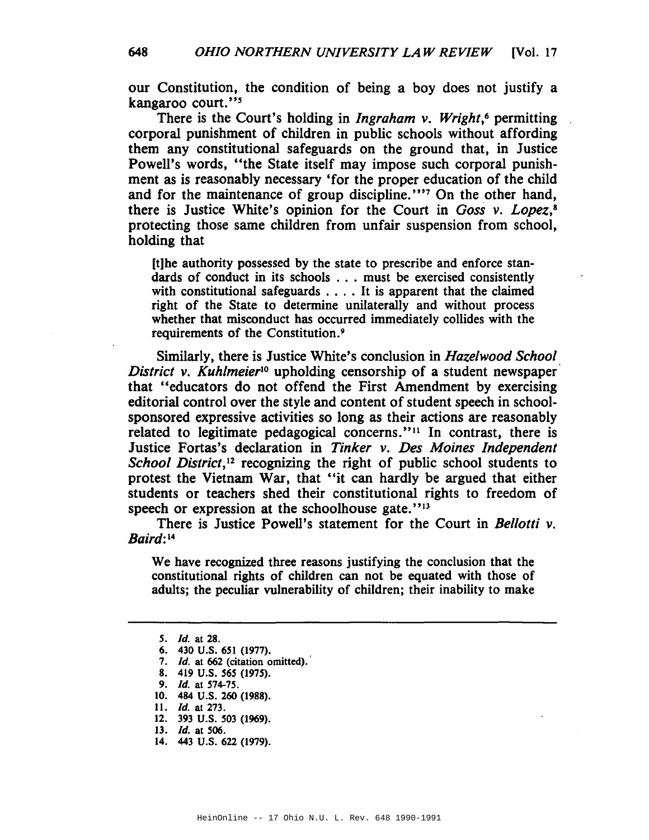our Constitution, the condition of being a boy does not justify a kangaroo court."5

There is the Court's holding in *Ingraham v. Wright,6* permitting corporal punishment of children in public schools without affording them any constitutional safeguards on the ground that, in Justice Powell's words, "the State itself may impose such corporal punishment as is reasonably necessary 'for the proper education of the child and for the maintenance of group discipline."" On the other hand, there is Justice White's opinion for the Court in *Goss v. Lopez*,<sup>8</sup> protecting those same children from unfair suspension from school, holding that

[t]he authority possessed by the state to prescribe and enforce standards of conduct in its schools . . . must be exercised consistently with constitutional safeguards .... It is apparent that the claimed right of the State to determine unilaterally and without process whether that misconduct has occurred immediately collides with the requirements of the Constitution.9

Similarly, there is Justice White's conclusion in *Hazelwood School District v. Kuhlmeier*lo upholding censorship of a student newspaper that "educators do not offend the First Amendment by exercising editorial control over the style and content of student speech in schoolsponsored expressive activities so long as their actions are reasonably related to legitimate pedagogical concerns."<sup>11</sup> In contrast, there is Justice Fortas's declaration in *Tinker v. Des Moines Independent School District*,<sup>12</sup> recognizing the right of public school students to protest the Vietnam War, that "it can hardly be argued that either students or teachers shed their constitutional rights to freedom of speech or expression at the schoolhouse gate."<sup>13</sup>

There is Justice Powell's statement for the Court in *Bellotti v. Baird:* <sup>14</sup>

We have recognized three reasons justifying the conclusion that the constitutional rights of children can not be equated with those of adults; the peculiar vulnerability of children; their inability to make

12. 393 U.S. 503 (1969).

14. 443 U.S. 622 (1979).

HeinOnline -- 17 Ohio N.U. L. Rev. 648 1990-1991

*<sup>5.</sup> [d.* at 28.

<sup>6.</sup> 430 U.S. 651 (1977).

*<sup>7.</sup> [d.* at 662 (citation omitted).'

<sup>8.</sup> 419 U.S. 565 (1975).

<sup>9.</sup> *Id.* at 574-75.

<sup>10.</sup> 484 U.S. 260 (1988).

<sup>11.</sup> *Id.* at 273.

*<sup>13.</sup> [d.* at 506.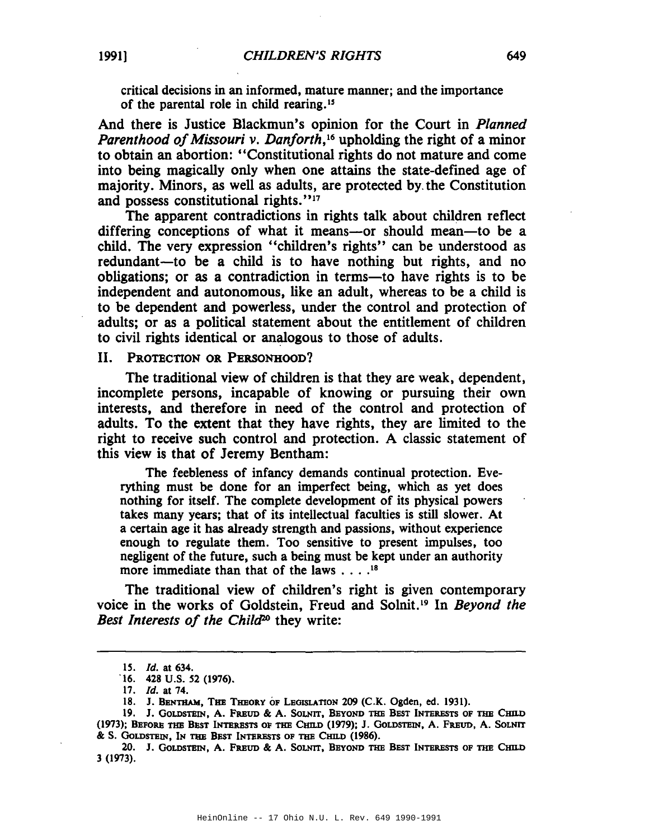critical decisions in an informed, mature manner; and the importance of the parental role in child rearing."

And there is Justice Blackmun's opinion for the Court in *Planned Parenthood of Missouri v. Danforth*,<sup>16</sup> upholding the right of a minor to obtain an abortion: "Constitutional rights do not mature and come into being magically only when one attains the state-defined age of majority. Minors, as well as adults, are protected by, the Constitution and possess constitutional rights. "17

The apparent contradictions in rights talk about children reflect differing conceptions of what it means-or should mean-to be a child. The very expression "children's rights" can be understood as redundant-to be a child is to have nothing but rights, and no obligations; or as a contradiction in terms—to have rights is to be independent and autonomous, like an adult, whereas to be a child is to be dependent and powerless, under the control and protection of adults; or as a political statement about the entitlement of children to civil rights identical or analogous to those of adults.

II. PROTECTION OR PERSONHOOD'!

The traditional view of children is that they are weak, dependent, incomplete persons, incapable of knowing or pursuing their own interests, and therefore in need of the control and protection of adults. To the extent that they have rights, they are limited to the right to receive such control and protection. A classic statement of this view is that of Jeremy Bentham:

The feebleness of infancy demands continual protection. Everything must be done for an imperfect being, which as yet does nothing for itself. The complete development of its physical powers takes many years; that of its intellectual faculties is still slower. At a certain age it has already strength and passions, without experience enough to regulate them. Too sensitive to present impulses, too negligent of the future, such a being must be kept under an authority more immediate than that of the laws . . . .<sup>18</sup>

The traditional view of children's right is given contemporary voice in the works of Goldstein, Freud and Solnit. <sup>19</sup> In *Beyond the Best Interests of the Chilcf20* they write:

<sup>15.</sup> *Id.* at 634.

<sup>&#</sup>x27;16. 428 U.S. *S2 (1976).*

<sup>17.</sup> *Id.* at 74.

<sup>18.</sup> J. BENTHAM, THE THEORY OF LEGISLATION 209 (C.K. Ogden, ed. 1931).

<sup>19.</sup> J. GOLDSTEIN, A. FREUD & A. SOLNIT, BEYOND THE BEST INTERESTS OF THE CHILD (1973); BEFORE THE BEST INTERESTS OF THE CHILD (1979); J. GOLDSTEIN, A. FREUD, A. SOLNIT & S. GoLDSTEIN, IN THE BEST INTERESTS OF THE CHILD (1986).

<sup>20.</sup> J. GoLDSTEIN, A. FREUD & A. SoLNIT, BEYOND THE BEST INTERESTS OF THE CHILD 3 (1973).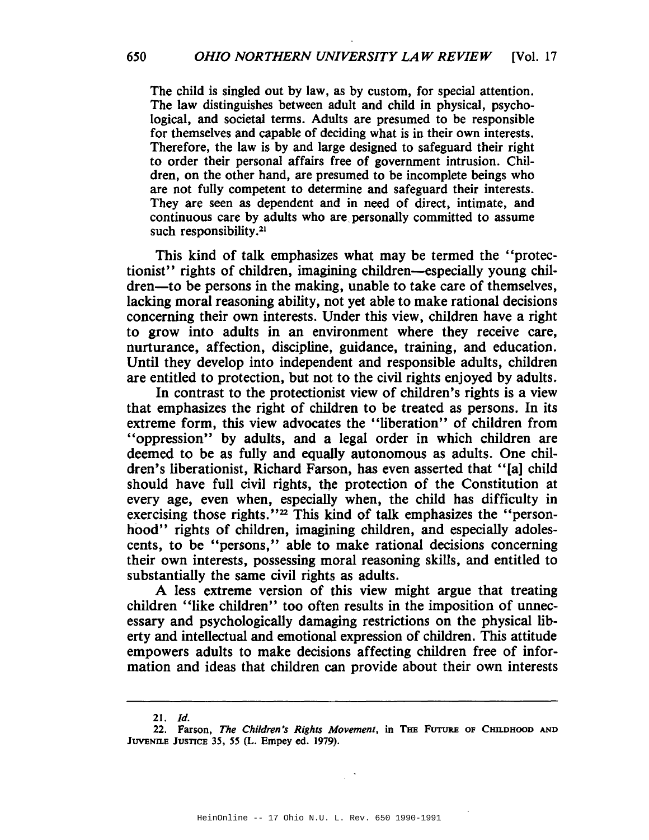The child is singled out by law, as by custom, for special attention. The law distinguishes between adult and child in physical, psychological, and societal terms. Adults are presumed to be responsible for themselves and capable of deciding what is in their own interests. Therefore, the law is by and large designed to safeguard their right to order their personal affairs free of government intrusion. Children, on the other hand, are presumed to be incomplete beings who are not fully competent to determine and safeguard their interests. They are seen as dependent and in need of direct, intimate, and continuous care by adults who are personally committed to assume such responsibility.<sup>21</sup>

This kind of talk emphasizes what may be termed the "protectionist" rights of children, imagining children-especially young children—to be persons in the making, unable to take care of themselves, lacking moral reasoning ability, not yet able to make rational decisions concerning their own interests. Under this view, children have a right to grow into adults in an environment where they receive care, nurturance, affection, discipline, guidance, training, and education. Until they develop into independent and responsible adults, children are entitled to protection, but not to the civil rights enjoyed by adults.

In contrast to the protectionist view of children's rights is a view that emphasizes the right of children to be treated as persons. In its extreme form, this view advocates the "liberation" of children from "oppression" by adults, and a legal order in which children are deemed to be as fully and equally autonomous as adults. One children's liberationist, Richard Farson, has even asserted that "[a] child should have full civil rights, the protection of the Constitution at every age, even when, especially when, the child has difficulty in exercising those rights."<sup>22</sup> This kind of talk emphasizes the "personhood" rights of children, imagining children, and especially adolescents, to be "persons," able to make rational decisions concerning their own interests, possessing moral reasoning skills, and entitled to substantially the same civil rights as adults.

A less extreme version of this view might argue that treating children "like children" too often results in the imposition of unnecessary and psychologically damaging restrictions on the physical liberty and intellectual and emotional expression of children. This attitude empowers adults to make decisions affecting children free of information and ideas that children can provide about their own interests

*<sup>21.</sup> Id.*

<sup>22.</sup> Farson, *The Children's Rights Movement*, in THE FUTURE OF CHILDHOOD AND JUVENILE JUSTICE 35, 55 (L. Empey ed. 1979).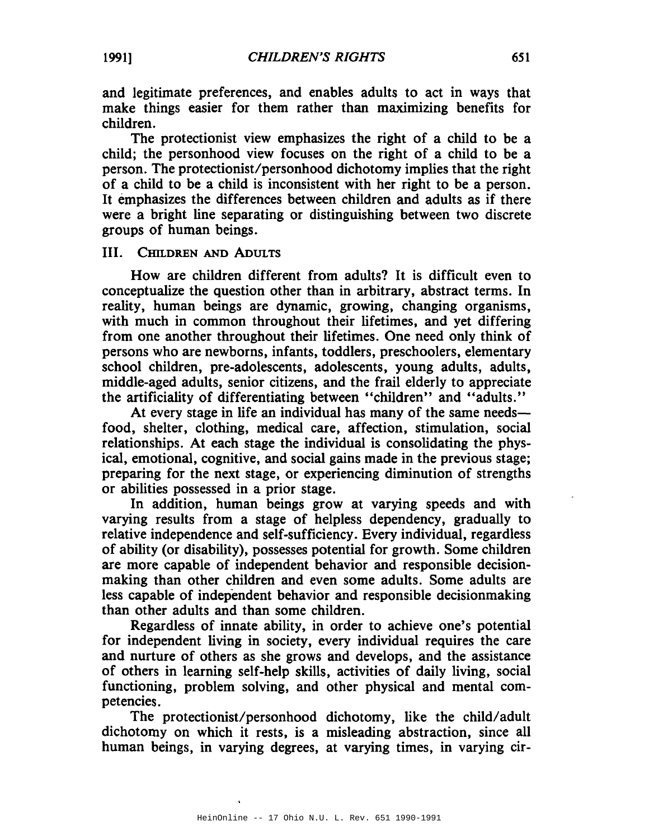and legitimate preferences, and enables adults to act in ways that make things easier for them rather than maximizing benefits for children.

The protectionist view emphasizes the right of a child to be a child; the personhood view focuses on the right of a child to be a person. The protectionist/personhood dichotomy implies that the right of a child to be a child is inconsistent with her right to be a person. It emphasizes the differences between children and adults as if there were a bright line separating or distinguishing between two discrete groups of human beings.

### III. CHILDREN AND ADULTS

How are children different from adults? It is difficult even to conceptualize the question other than in arbitrary, abstract terms. In reality, human beings are dynamic, growing, changing organisms, with much in common throughout their lifetimes, and yet differing from one another throughout their lifetimes. One need only think of persons who are newborns, infants, toddlers, preschoolers, elementary school children, pre-adolescents, adolescents, young adults, adults, middle-aged adults, senior citizens, and the frail elderly to appreciate the artificiality of differentiating between "children" and "adults."

At every stage in life an individual has many of the same needsfood, shelter, clothing, medical care, affection, stimulation, social relationships. At each stage the individual is consolidating the physical, emotional, cognitive, and social gains made in the previous stage; preparing for the next stage, or experiencing diminution of strengths or abilities possessed in a prior stage.

In addition, human beings grow at varying speeds and with varying results from a stage of helpless dependency, gradually to relative independence and self-sufficiency. Every individual, regardless of ability (or disability), possesses potential for growth. Some children are more capable of independent behavior and responsible decisionmaking than other children and even some adults. Some adults are less capable of independent behavior and responsible decisionmaking than other adults and than some children.

Regardless of innate ability, in order to achieve one's potential for independent living in society, every individual requires the care and nurture of others as she grows and develops, and the assistance of others in learning self-help skills, activities of daily living, social functioning, problem solving, and other physical and mental competencies.

The protectionist/personhood dichotomy, like the child/adult dichotomy on which it rests, is a misleading abstraction, since all human beings, in varying degrees, at varying times, in varying cir-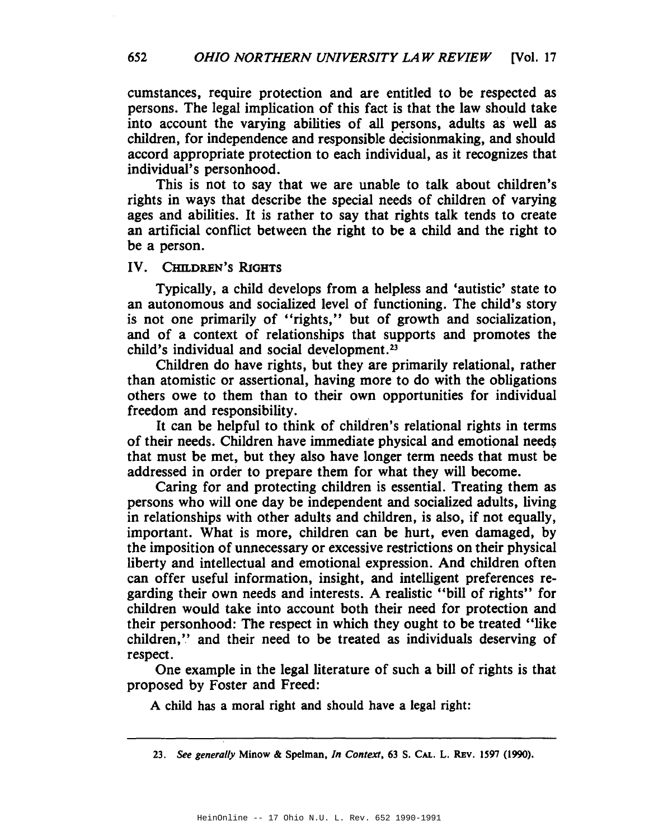cumstances, require protection and are entitled to be respected as persons. The legal implication of this fact is that the law should take into account the varying abilities of all persons, adults as well as children, for independence and responsible decisionmaking, and should accord appropriate protection to each individual, as it recognizes that individual's personhood.

This is not to say that we are unable to talk about children's rights in ways that describe the special needs of children of varying ages and abilities. It is rather to say that rights talk tends to create an artificial conflict between the right to be a child and the right to be a person.

### IV. CmLDREN'S RIGHTS

Typically, a child develops from a helpless and 'autistic' state to an autonomous and socialized level of functioning. The child's story is not one primarily of "rights," but of growth and socialization, and of a context of relationships that supports and promotes the child's individual and social development.23

Children do have rights, but they are primarily relational, rather than atomistic or assertional, having more to do with the obligations others owe to them than to their own opportunities for individual freedom and responsibility.

It can be helpful to think of children's relational rights in terms of their needs. Children have immediate physical and emotional needs that must be met, but they also have longer term needs that must be addressed in order to prepare them for what they will become.

Caring for and protecting children is essential. Treating them as persons who will one day be independent and socialized adults, living in relationships with other adults and children, is also, if not equally, important. What is more, children can be hurt, even damaged, by the imposition of unnecessary or excessive restrictions on their physical liberty and intellectual and emotional expression. And children often can offer useful information, insight, and intelligent preferences regarding their own needs and interests. A realistic "bill of rights" for children would take into account both their need for protection and their personhood: The respect in which they ought to be treated "like children," and their need to be treated as individuals deserving of respect.

One example in the legal literature of such a bill of rights is that proposed by Foster and Freed:

A child has a moral right and should have a legal right:

*<sup>23.</sup> See generally* Minow & Spelman, *In Context.* 63 S. CAL. L. REv. 1597 (1990).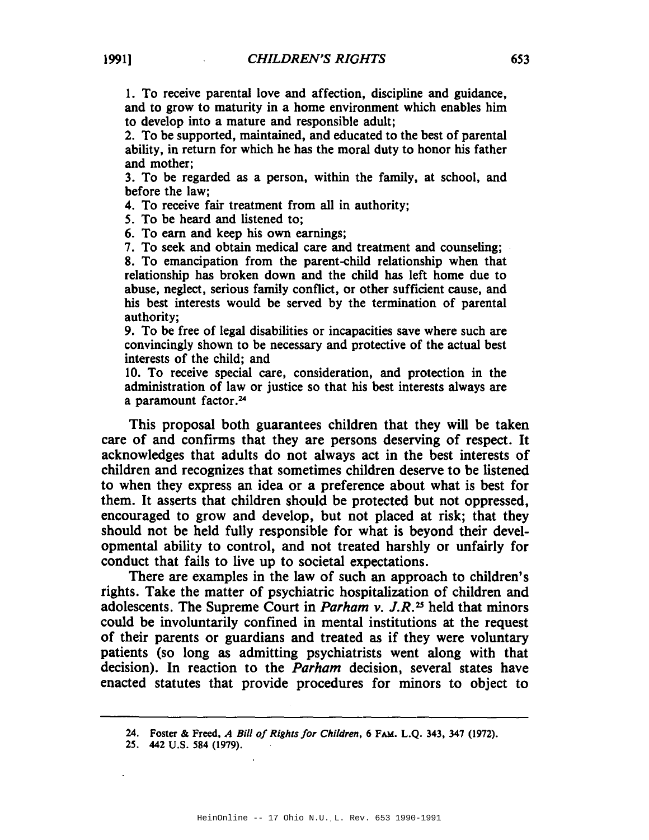1. To receive parental love and affection, discipline and guidance, and to grow to maturity in a home environment which enables him to develop into a mature and responsible adult;

2. To be supported, maintained, and educated to the best of parental ability, in return for which he has the moral duty to honor his father and mother;

3. To be regarded as a person, within the family, at school, and before the law;

4. To receive fair treatment from all in authority;

5. To be heard and listened to;

6. To earn and keep his own earnings;

7. To seek and obtain medical care and treatment and counseling;

8. To emancipation from the parent-child relationship when that relationship has broken down and the child has left home due to abuse, neglect, serious family conflict, or other sufficient cause, and his best interests would be served by the termination of parental authority;

9. To be free of legal disabilities or incapacities save where such are convincingly shown to be necessary and protective of the actual best interests of the child; and

10. To receive special care, consideration, and protection in the administration of law or justice so that his best interests always are a paramount factor. <sup>24</sup>

This proposal both guarantees children that they will be taken care of and confirms that they are persons deserving of respect. It acknowledges that adults do not always act in the best interests of children and recognizes that sometimes children deserve to be listened to when they express an idea or a preference about what is best for them. It asserts that children should be protected but not oppressed, encouraged to grow and develop, but not placed at risk; that they should not be held fully responsible for what is beyond their developmental ability to control, and not treated harshly or unfairly for conduct that fails to live up to societal expectations.

There are examples in the law of such an approach to children's rights. Take the matter of psychiatric hospitalization of children and adolescents. The Supreme Court in *Parham v. J.R.25* held that minors could be involuntarily confined in mental institutions at the request of their parents or guardians and treated as if they were voluntary patients (so long as admitting psychiatrists went along with that decision). In reaction to the *Parham* decision, several states have enacted statutes that provide procedures for minors to object to

<sup>24.</sup> Foster & Freed, *A Bill of Rights for Children,* 6 FA!!. L.Q. 343. 347 (1972).

<sup>25.</sup> 442 U.S. 584 (1979).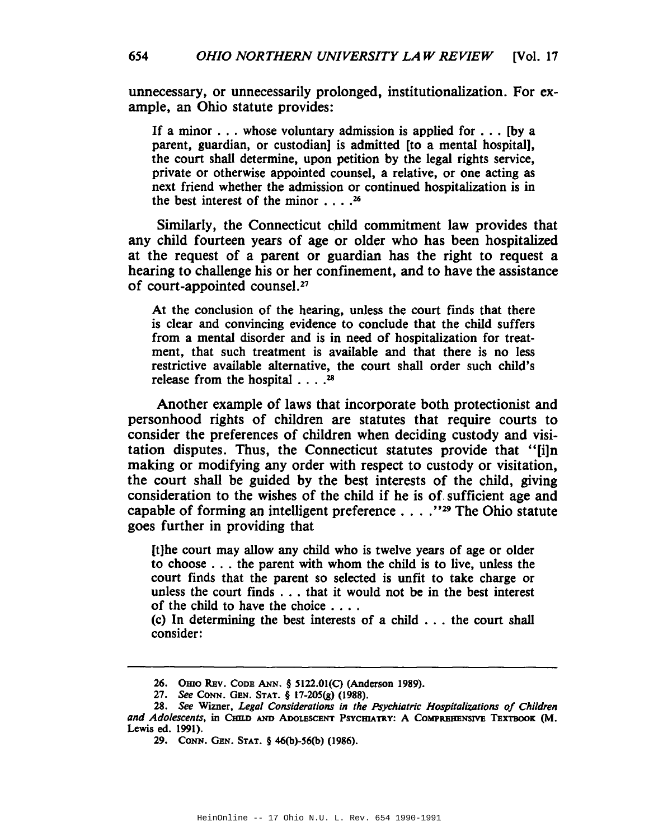unnecessary, or unnecessarily prolonged, institutionalization. For example, an Ohio statute provides:

If <sup>a</sup> minor ... whose voluntary admission is applied for ... [by <sup>a</sup> parent, guardian, or custodian] is admitted [to a mental hospital], the court shall determine, upon petition by the legal rights service, private or otherwise appointed counsel, a relative, or one acting as next friend whether the admission or continued hospitalization is in the best interest of the minor  $\ldots$ . 26

Similarly, the Connecticut child commitment law provides that any child fourteen years of age or older who has been hospitalized at the request of a parent or guardian has the right to request a hearing to challenge his or her confinement, and to have the assistance of court-appointed counse1.<sup>27</sup>

At the conclusion of the hearing, unless the court finds that there is clear and convincing evidence to conclude that the child suffers from a mental disorder and is in need of hospitalization for treatment, that such treatment is available and that there is no less restrictive available alternative, the court shall order such child's release from the hospital . . . .28

Another example of laws that incorporate both protectionist and personhood rights of children are statutes that require courts to consider the preferences of children when deciding custody and visitation disputes. Thus, the Connecticut statutes provide that "[i]n making or modifying any order with respect to custody or visitation, the court shall be guided by the best interests of the child, giving consideration to the wishes of the child if he is of. sufficient age and capable of forming an intelligent preference .... "29 The Ohio statute goes further in providing that

[t]he court may allow any child who is twelve years of age or older to choose . . . the parent with whom the child is to live, unless the court finds that the parent so selected is unfit to take charge or unless the court finds . . . that it would not be in the best interest of the child to have the choice . . . .

(c) In determining the best interests of <sup>a</sup> child ... the court shall consider:

<sup>26.</sup> Omo REv. CODE ANN. § 5122.01(C) (Anderson 1989).

*<sup>27.</sup>* See CONN. GEN. STAT. § 17-205(g) (1988).

*<sup>28.</sup> See* Wimer, *Legal Considerations in the Psychiatric Hospitalizations oj Children and Adolescents.* in CJm.o AND ADoLESCENT PSYCmATRY: A COMPREBENSIVE TEXTBOOK (M. Lewis ed. 1991).

<sup>29.</sup> CONN. GEN. STAT. § 46(b)-56(b) (1986).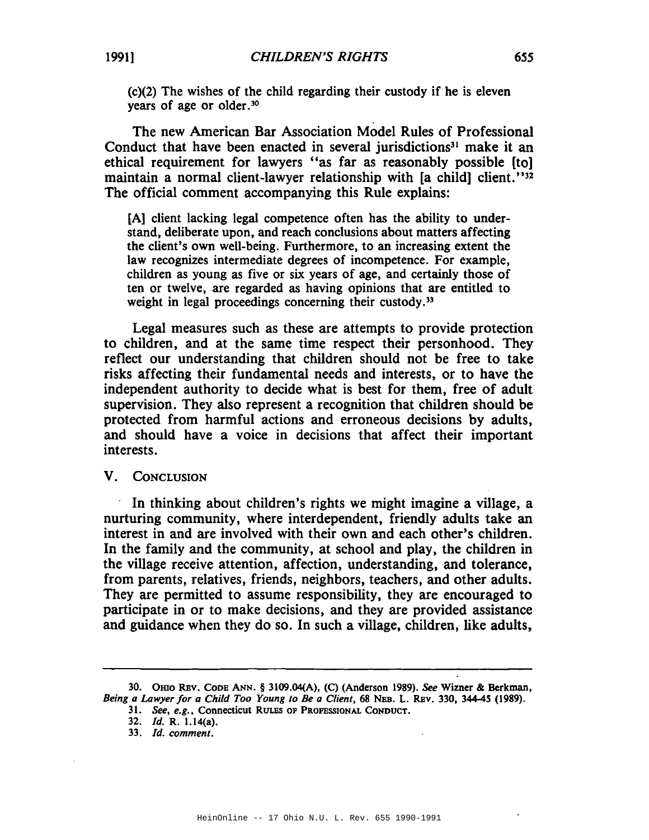(c)(2) The wishes of the child regarding their custody if he is eleven years of age or older.<sup>30</sup>

The new American Bar Association Model Rules of Professional Conduct that have been enacted in several jurisdictions<sup>31</sup> make it an ethical requirement for lawyers "as far as reasonably possible [to] maintain a normal client-lawyer relationship with [a child] client."<sup>32</sup> The official comment accompanying this Rule explains:

[A] client lacking legal competence often has the ability to understand, deliberate upon, and reach conclusions about matters affecting the client's own well-being. Furthermore, to an increasing extent the law recognizes intermediate degrees of incompetence. For example, children as young as five or six years of age, and certainly those of ten or twelve, are regarded as having opinions that are entitled to weight in legal proceedings concerning their custody.<sup>33</sup>

Legal measures such as these are attempts to provide protection to children, and at the same time respect their personhood. They reflect our understanding that children should not be free to take risks affecting their fundamental needs and interests, or to have the independent authority to decide what is best for them, free of adult supervision. They also represent a recognition that children should be protected from harmful actions and erroneous decisions by adults, and should have a voice in decisions that affect their important interests.

# V. CONCLUSION

In thinking about children's rights we might imagine a village, a nurturing community, where interdependent, friendly adults take an interest in and are involved with their own and each other's children. In the family and the community, at school and play, the children in the village receive attention, affection, understanding, and tolerance, from parents, relatives, friends, neighbors, teachers, and other adults. They are permitted to assume responsibility, they are encouraged to participate in or to make decisions, and they are provided assistance and guidance when they do so. In such a village, children, like adults,

*31. See, e.g.,* Connecticut RULES OF PROFESSIONAL CONDUCT.

<sup>30.</sup> Omo REv. CODE ANN. § 3109.04(A), (C) (Anderson 1989). See Wimer & Berkman, *Being a Lawyer for a Child Too Young to Be a Client,* 68 NEB. L. REv. 330, 344-45 (1989).

*<sup>32.</sup> [d.* R. 1.14(a).

*<sup>33.</sup> [d. comment.*